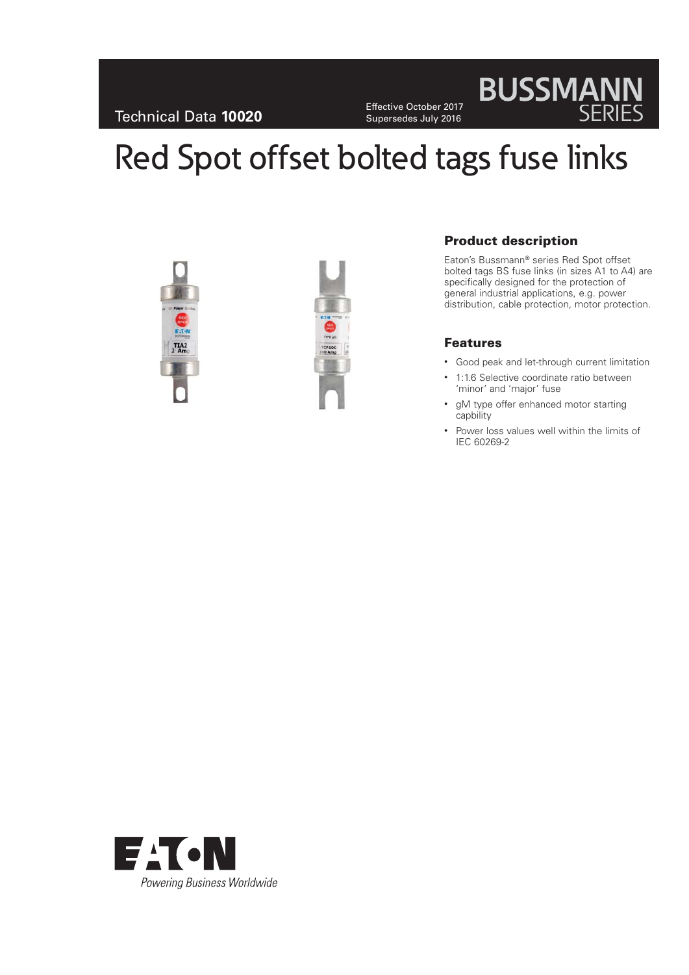Effective October 2017 Supersedes July 2016

# **BUSSMANN**

# Red Spot offset bolted tags fuse links





## **Product description**

Eaton's Bussmann**®** series Red Spot offset bolted tags BS fuse links (in sizes A1 to A4) are specifically designed for the protection of general industrial applications, e.g. power distribution, cable protection, motor protection.

#### **Features**

- Good peak and let-through current limitation
- 1:1.6 Selective coordinate ratio between 'minor' and 'major' fuse
- gM type offer enhanced motor starting capbility
- Power loss values well within the limits of IEC 60269-2

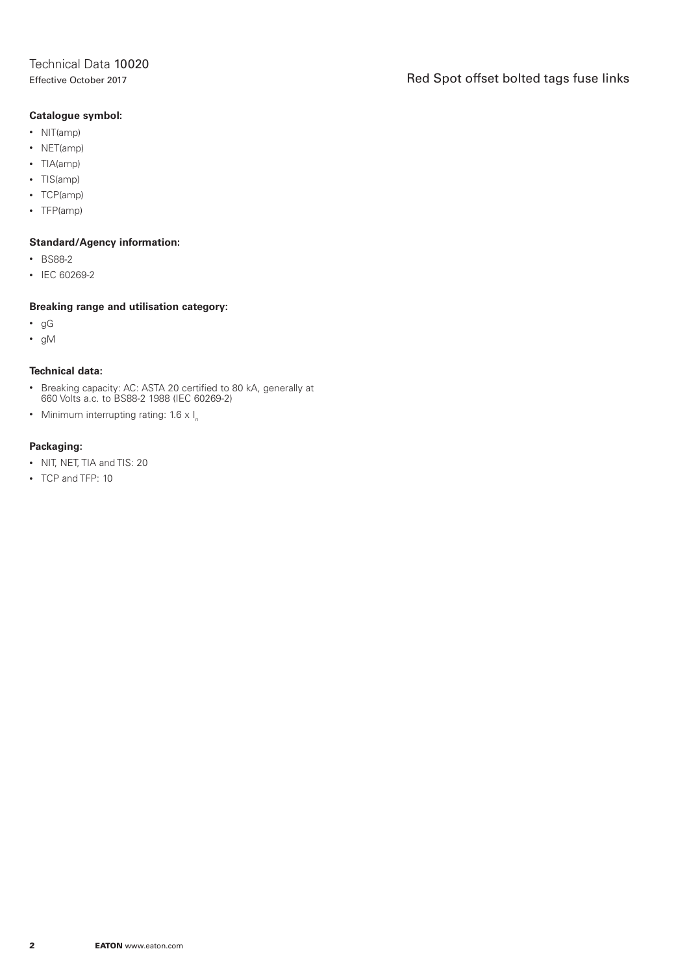### Effective October 2017 **Red Spot offset bolted tags fuse links**

#### **Catalogue symbol:**

- NIT(amp)
- NET(amp)
- TIA(amp)
- TIS(amp)
- TCP(amp)
- TFP(amp)

#### **Standard/Agency information:**

- BS88-2
- IEC 60269-2

#### **Breaking range and utilisation category:**

- gG
- gM

#### **Technical data:**

- Breaking capacity: AC: ASTA 20 certified to 80 kA, generally at 660 Volts a.c. to BS88-2 1988 (IEC 60269-2)
- Minimum interrupting rating:  $1.6 \times I_n$

#### **Packaging:**

- NIT, NET, TIA and TIS: 20
- TCP and TFP: 10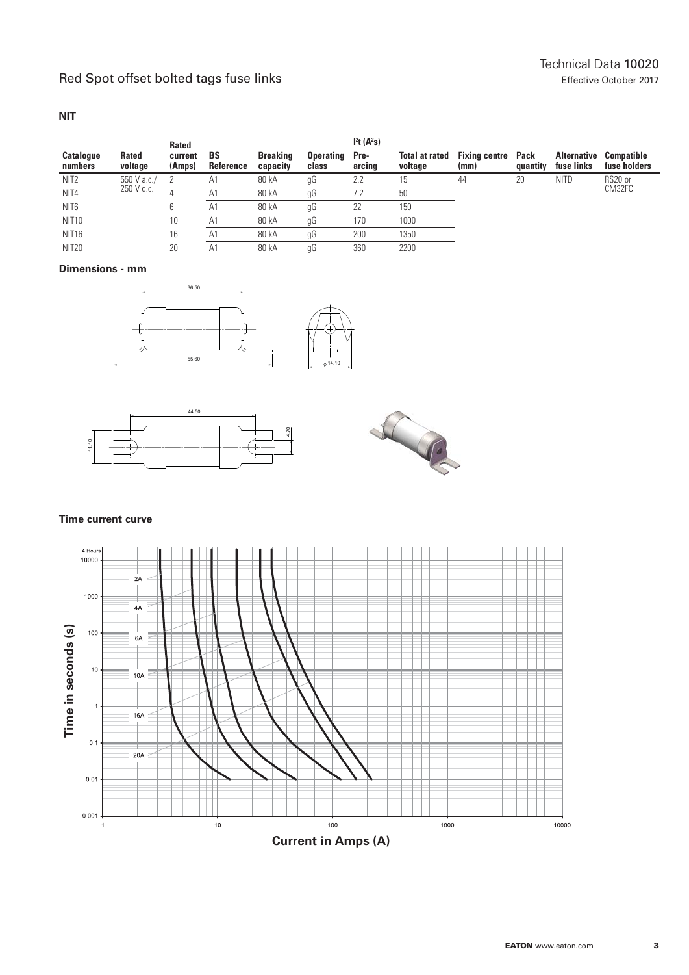#### **NIT**

|                             |                         | <b>Rated</b>      |                 |                             |                           | I <sup>2</sup> t(A <sup>2</sup> s) |                                  |                              |                  |                                  |                            |
|-----------------------------|-------------------------|-------------------|-----------------|-----------------------------|---------------------------|------------------------------------|----------------------------------|------------------------------|------------------|----------------------------------|----------------------------|
| <b>Catalogue</b><br>numbers | <b>Rated</b><br>voltage | current<br>(Amps) | BS<br>Reference | <b>Breaking</b><br>capacity | <b>Operating</b><br>class | Pre-<br>arcing                     | <b>Total at rated</b><br>voltage | <b>Fixing centre</b><br>(mm) | Pack<br>quantity | <b>Alternative</b><br>fuse links | Compatible<br>fuse holders |
| NIT <sub>2</sub>            | 550 V a.c./             |                   | A1              | 80 kA                       | gG                        | 2.2                                | 15                               | 44                           | 20               | <b>NITD</b>                      | RS20 or<br>CM32FC          |
| NIT <sub>4</sub>            | 250 V d.c.              |                   | Α1              | 80 kA                       | gG                        | 7.2                                | 50                               |                              |                  |                                  |                            |
| NIT <sub>6</sub>            |                         |                   | A <sub>1</sub>  | 80 kA                       | gG                        | 22                                 | 150                              |                              |                  |                                  |                            |
| <b>NIT10</b>                |                         | 10                | A1              | 80 kA                       | gG                        | 170                                | 1000                             |                              |                  |                                  |                            |
| NIT <sub>16</sub>           |                         | 16                | A1              | 80 kA                       | gG                        | 200                                | 1350                             |                              |                  |                                  |                            |
| <b>NIT20</b>                |                         | 20                | A1              | 80 kA                       | gG                        | 360                                | 2200                             |                              |                  |                                  |                            |

#### **Dimensions - mm**







#### **Time current curve**

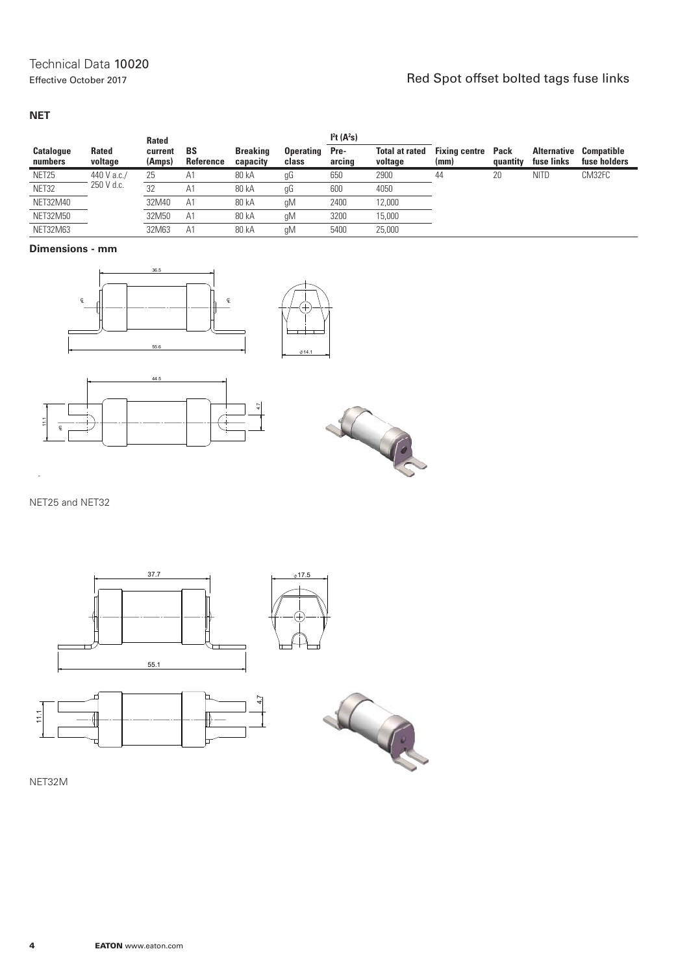# Effective October 2017<br>Effective October 2017

#### **NET**

|                             |                         | <b>Rated</b>      |                        |                             |                           | I <sup>2</sup> t(A <sup>2</sup> s) |                                  |                              |                  |                                  |                                   |
|-----------------------------|-------------------------|-------------------|------------------------|-----------------------------|---------------------------|------------------------------------|----------------------------------|------------------------------|------------------|----------------------------------|-----------------------------------|
| <b>Catalogue</b><br>numbers | <b>Rated</b><br>voltage | current<br>(Amps) | <b>BS</b><br>Reference | <b>Breaking</b><br>capacity | <b>Operating</b><br>class | Pre-<br>arcing                     | <b>Total at rated</b><br>voltage | <b>Fixing centre</b><br>(mm) | Pack<br>quantity | <b>Alternative</b><br>fuse links | <b>Compatible</b><br>fuse holders |
| NET25                       | 440 V a.c./             | 25                | A1                     | 80 kA                       | gG                        | 650                                | 2900                             | 44                           | 20               | <b>NITD</b>                      | CM32FC                            |
| NET32                       | 250 V d.c.              | 32                | A.                     | 80 kA                       | gG                        | 600                                | 4050                             |                              |                  |                                  |                                   |
| NET32M40                    |                         | 32M40             | A1                     | 80 kA                       | gM                        | 2400                               | 12,000                           |                              |                  |                                  |                                   |
| <b>NET32M50</b>             |                         | 32M50             | A1                     | 80 kA                       | gM                        | 3200                               | 15,000                           |                              |                  |                                  |                                   |
| <b>NET32M63</b>             |                         | 32M63             | A1                     | 80 kA                       | qM                        | 5400                               | 25,000                           |                              |                  |                                  |                                   |

#### **Dimensions - mm**



NET25 and NET32



NET32M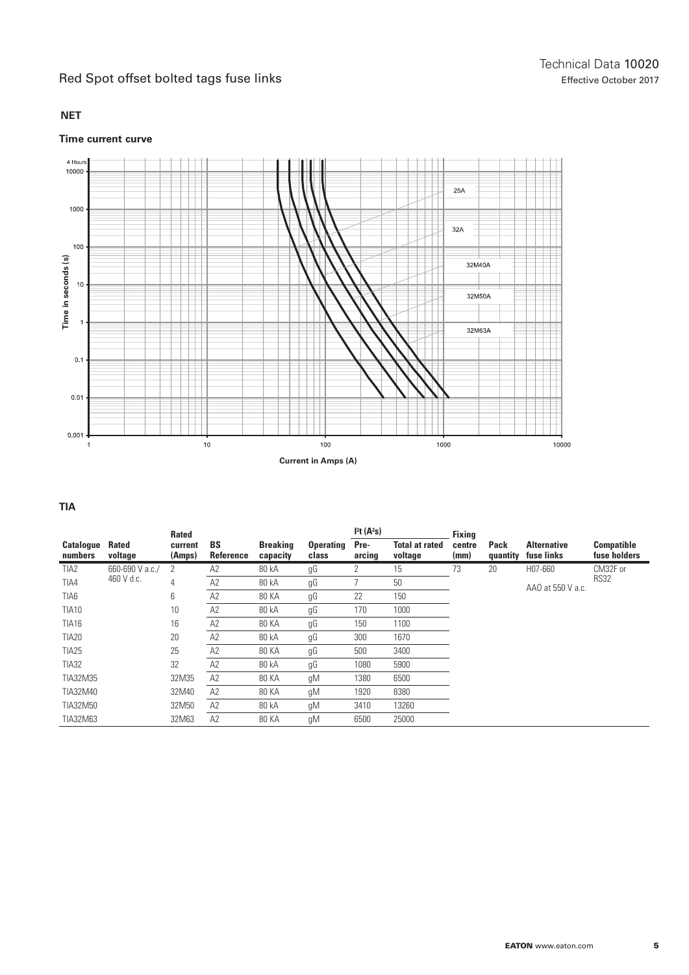#### **NET**

#### **Time current curve**



#### **TIA**

|                             |                         | <b>Rated</b>      |                        |                             |                           | I <sup>2</sup> t(A <sup>2</sup> s) |                                  | <b>Fixing</b>  |                  |                                  |                            |
|-----------------------------|-------------------------|-------------------|------------------------|-----------------------------|---------------------------|------------------------------------|----------------------------------|----------------|------------------|----------------------------------|----------------------------|
| <b>Catalogue</b><br>numbers | <b>Rated</b><br>voltage | current<br>(Amps) | <b>BS</b><br>Reference | <b>Breaking</b><br>capacity | <b>Operating</b><br>class | Pre-<br>arcing                     | <b>Total at rated</b><br>voltage | centre<br>(mm) | Pack<br>quantity | <b>Alternative</b><br>fuse links | Compatible<br>fuse holders |
| TIA <sub>2</sub>            | 660-690 V a.c./         | 2                 | A2                     | 80 kA                       | gG                        | 2                                  | 15                               | 73             | 20               | H07-660                          | CM32F or                   |
| TIA4                        | 460 V d.c.              | 4                 | A2                     | 80 kA                       | gG                        |                                    | 50                               |                |                  | AA0 at 550 V a.c.                | <b>RS32</b>                |
| TIA6                        |                         | 6                 | A2                     | <b>80 KA</b>                | gG                        | 22                                 | 150                              |                |                  |                                  |                            |
| <b>TIA10</b>                |                         | 10                | A2                     | 80 kA                       | gG                        | 170                                | 1000                             |                |                  |                                  |                            |
| <b>TIA16</b>                |                         | 16                | A2                     | <b>80 KA</b>                | gG                        | 150                                | 1100                             |                |                  |                                  |                            |
| <b>TIA20</b>                |                         | 20                | A2                     | 80 kA                       | gG                        | 300                                | 1670                             |                |                  |                                  |                            |
| <b>TIA25</b>                |                         | 25                | A2                     | 80 KA                       | gG                        | 500                                | 3400                             |                |                  |                                  |                            |
| <b>TIA32</b>                |                         | 32                | A2                     | 80 kA                       | gG                        | 1080                               | 5900                             |                |                  |                                  |                            |
| TIA32M35                    |                         | 32M35             | A <sub>2</sub>         | 80 KA                       | gM                        | 1380                               | 6500                             |                |                  |                                  |                            |
| TIA32M40                    |                         | 32M40             | A2                     | <b>80 KA</b>                | gM                        | 1920                               | 8380                             |                |                  |                                  |                            |
| TIA32M50                    |                         | 32M50             | A2                     | 80 kA                       | gM                        | 3410                               | 13260                            |                |                  |                                  |                            |
| TIA32M63                    |                         | 32M63             | A2                     | 80 KA                       | gM                        | 6500                               | 25000                            |                |                  |                                  |                            |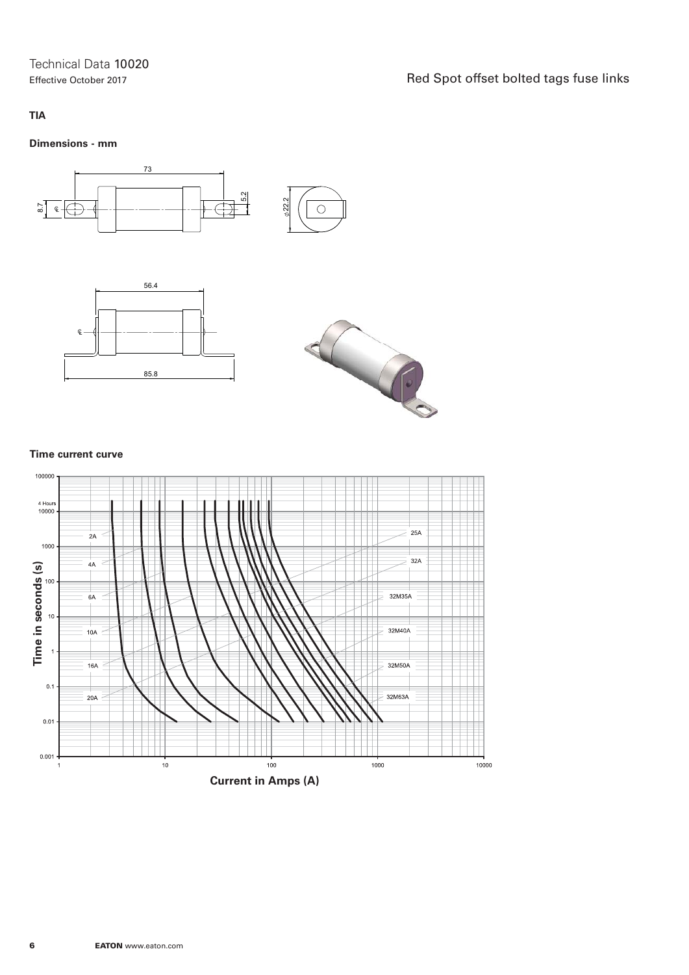Technical Data 10020

Effective October 2017 The Effective October 2017

#### **TIA**

#### **Dimensions - mm**







#### **Time current curve**

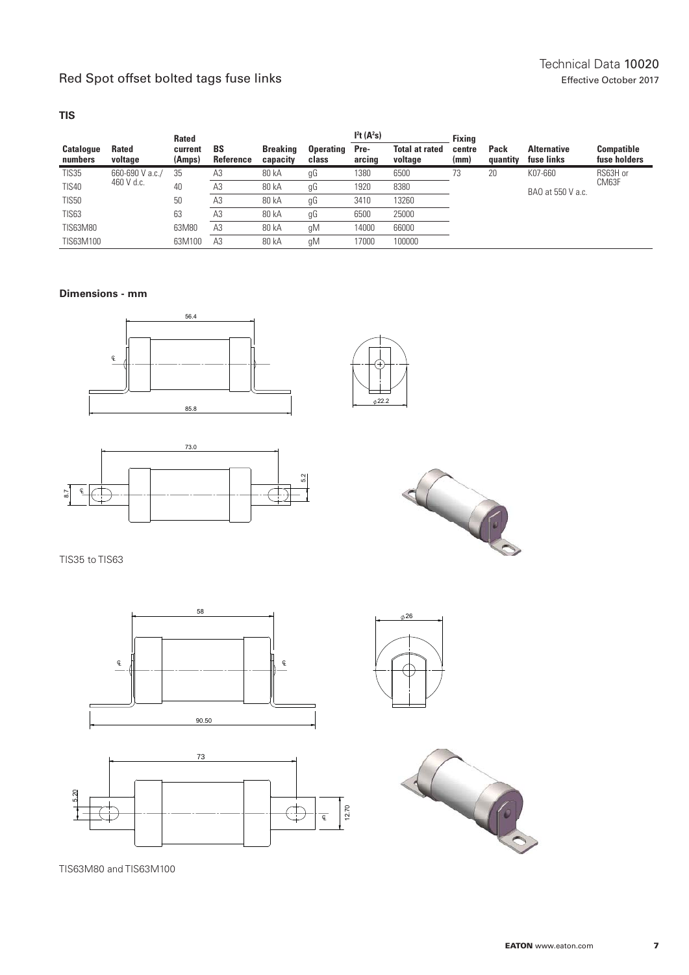#### **TIS**

|                             |                         | <b>Rated</b>      |                        |                             |                           | I <sup>2</sup> t(A <sup>2</sup> s) |                                  | <b>Fixina</b>  |                   |                                  |                                   |
|-----------------------------|-------------------------|-------------------|------------------------|-----------------------------|---------------------------|------------------------------------|----------------------------------|----------------|-------------------|----------------------------------|-----------------------------------|
| <b>Catalogue</b><br>numbers | <b>Rated</b><br>voltage | current<br>(Amps) | <b>BS</b><br>Reference | <b>Breaking</b><br>capacity | <b>Operating</b><br>class | Pre-<br>arcing                     | <b>Total at rated</b><br>voltage | centre<br>(mm) | Pack<br>quantity  | <b>Alternative</b><br>fuse links | <b>Compatible</b><br>fuse holders |
| <b>TIS35</b>                | 660-690 V a.c./         | 35                | A3                     | 80 kA                       | gG                        | 1380                               | 6500                             | 73             | 20                | K07-660                          | RS63H or                          |
| <b>TIS40</b>                | 460 V d.c.              | 40                | A3                     | 80 kA                       | gG                        | 1920                               | 8380                             |                | BAO at 550 V a.c. | CM63F                            |                                   |
| <b>TIS50</b>                |                         | 50                | A <sub>3</sub>         | 80 kA                       | gG                        | 3410                               | 13260                            |                |                   |                                  |                                   |
| <b>TIS63</b>                |                         | 63                | ΑЗ                     | 80 kA                       | gG                        | 6500                               | 25000                            |                |                   |                                  |                                   |
| TIS63M80                    |                         | 63M80             | A3                     | 80 kA                       | qM                        | 14000                              | 66000                            |                |                   |                                  |                                   |
| TIS63M100                   |                         | 63M100            | A <sub>3</sub>         | 80 kA                       | qM                        | 17000                              | 100000                           |                |                   |                                  |                                   |

#### **Dimensions - mm**







TIS35 to TIS63





TIS63M80 and TIS63M100





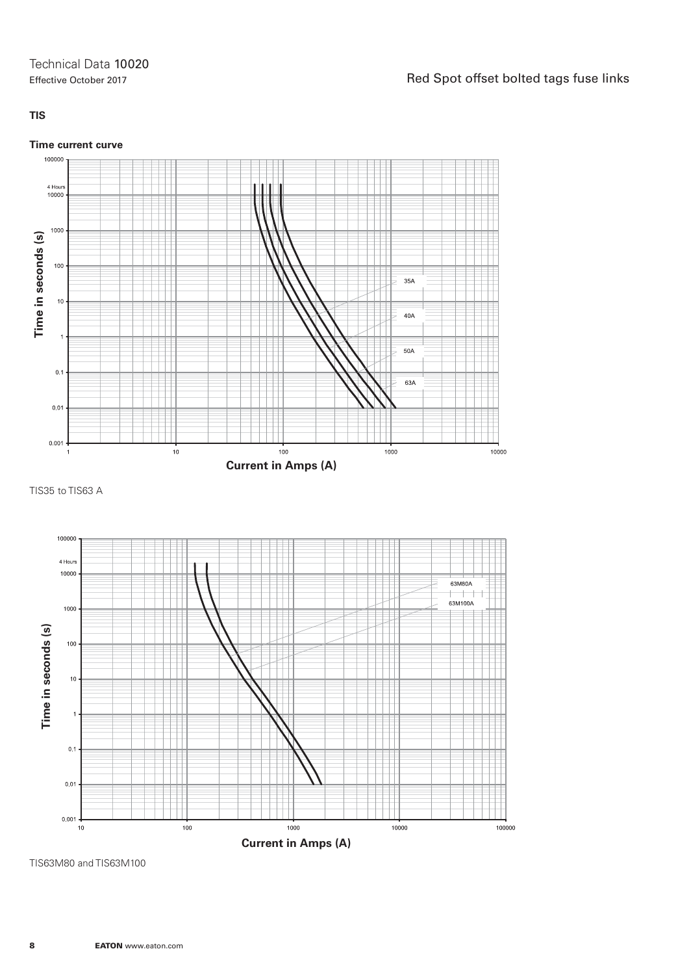#### **TIS**

#### **Time current curve**



TIS35 to TIS63 A



TIS63M80 and TIS63M100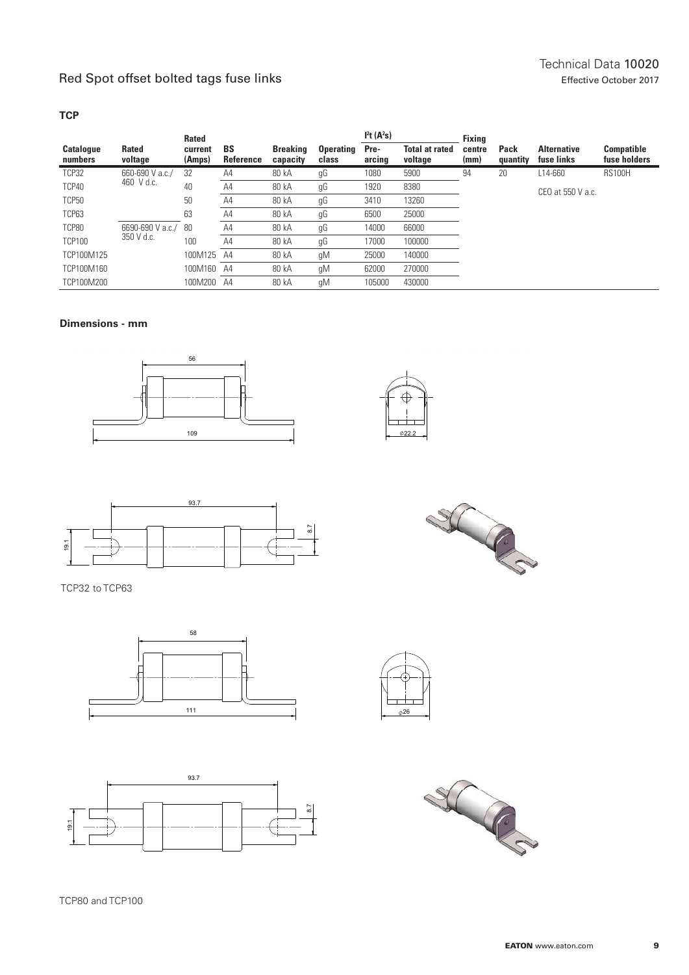#### **TCP**

|                             |                         | <b>Rated</b>      |                        |                             |                           | I <sup>2</sup> t(A <sup>2</sup> s) |                                  | <b>Fixing</b>  |                  |                                  |                                   |
|-----------------------------|-------------------------|-------------------|------------------------|-----------------------------|---------------------------|------------------------------------|----------------------------------|----------------|------------------|----------------------------------|-----------------------------------|
| <b>Catalogue</b><br>numbers | <b>Rated</b><br>voltage | current<br>(Amps) | <b>BS</b><br>Reference | <b>Breaking</b><br>capacity | <b>Operating</b><br>class | Pre-<br>arcing                     | <b>Total at rated</b><br>voltage | centre<br>(mm) | Pack<br>quantity | <b>Alternative</b><br>fuse links | <b>Compatible</b><br>fuse holders |
| TCP32                       | 660-690 V a.c./         | 32                | A4                     | 80 kA                       | gG                        | 1080                               | 5900                             | 94             | 20               | L14-660                          | <b>RS100H</b>                     |
| TCP40                       | 460 V d.c.              | 40                | A4                     | 80 kA                       | gG                        | 1920                               | 8380                             |                |                  | CEO at 550 V a.c.                |                                   |
| <b>TCP50</b>                |                         | 50                | A4                     | 80 kA                       | gG                        | 3410                               | 13260                            |                |                  |                                  |                                   |
| TCP63                       |                         | 63                | A4                     | 80 kA                       | gG                        | 6500                               | 25000                            |                |                  |                                  |                                   |
| TCP80                       | 6690-690 V a.c./        | 80                | A4                     | 80 kA                       | gG                        | 14000                              | 66000                            |                |                  |                                  |                                   |
| <b>TCP100</b>               | 350 V d.c.              | 100               | A4                     | 80 kA                       | gG                        | 17000                              | 100000                           |                |                  |                                  |                                   |
| TCP100M125                  |                         | 100M125           | A4                     | 80 kA                       | gM                        | 25000                              | 140000                           |                |                  |                                  |                                   |
| TCP100M160                  |                         | 100M160           | A4                     | 80 kA                       | gM                        | 62000                              | 270000                           |                |                  |                                  |                                   |
| TCP100M200                  |                         | 100M200           | A4                     | 80 kA                       | qM                        | 105000                             | 430000                           |                |                  |                                  |                                   |

#### **Dimensions - mm**







TCP32 to TCP63









SCRA

TCP80 and TCP100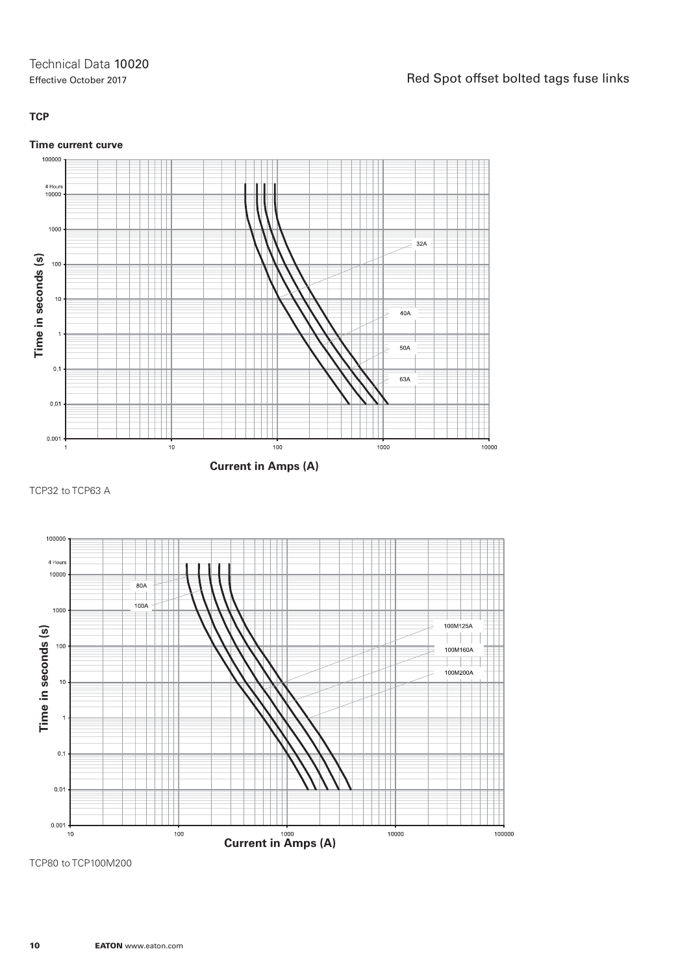#### **TCP**

#### **Time current curve**



TCP32 to TCP63 A



TCP80 to TCP100M200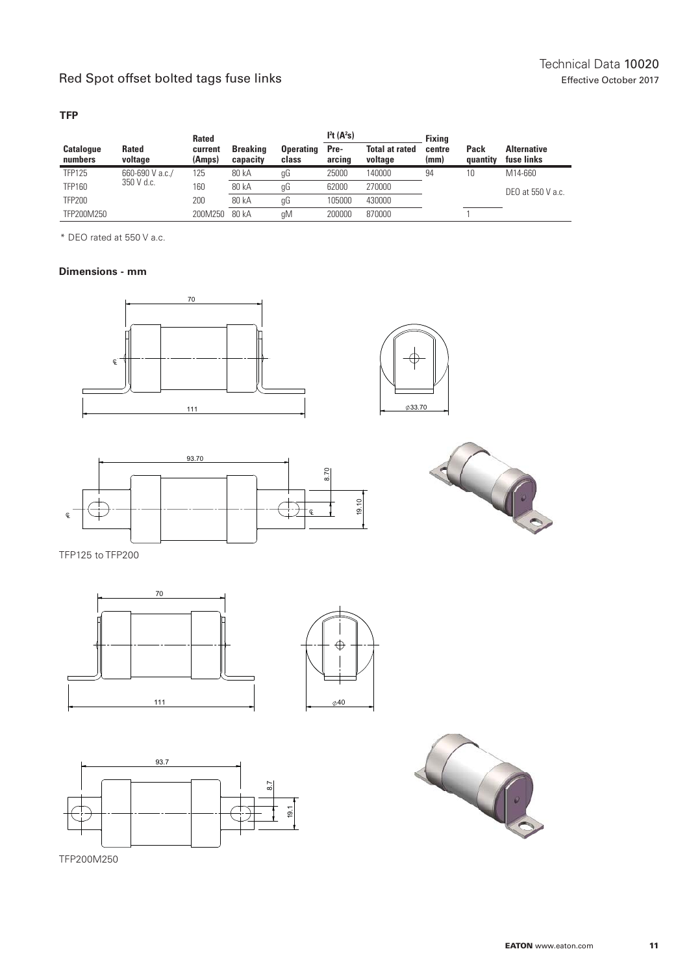#### **TFP**

|                             |                         | Rated             |                             |                           | I <sup>2</sup> t(A <sup>2</sup> s) |                                  | <b>Fixing</b>  |                  |                                  |
|-----------------------------|-------------------------|-------------------|-----------------------------|---------------------------|------------------------------------|----------------------------------|----------------|------------------|----------------------------------|
| <b>Catalogue</b><br>numbers | <b>Rated</b><br>voltage | current<br>(Amps) | <b>Breaking</b><br>capacity | <b>Operating</b><br>class | Pre-<br>arcing                     | <b>Total at rated</b><br>voltage | centre<br>(mm) | Pack<br>auantity | <b>Alternative</b><br>fuse links |
| <b>TFP125</b>               | 660-690 V a.c./         | 125               | 80 kA                       | gG                        | 25000                              | 140000                           | 94             | 10               | M14-660                          |
| TFP160                      | 350 V d.c.              | 160               | 80 kA                       | gG                        | 62000                              | 270000                           |                |                  | DEO at 550 V a.c.                |
| <b>TFP200</b>               |                         | 200               | 80 kA                       | gG                        | 105000                             | 430000                           |                |                  |                                  |
| TFP200M250                  |                         | 200M250           | 80 kA                       | qM                        | 200000                             | 870000                           |                |                  |                                  |

\* DEO rated at 550 V a.c.

#### **Dimensions - mm**









TFP125 to TFP200







TFP200M250